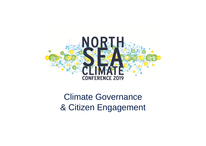

## Climate Governance & Citizen Engagement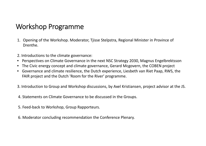#### Workshop Programme

- 1. Opening of the Workshop. Moderator, Tjisse Stelpstra, Regional Minister in Province of Drenthe.
- 2. Introductions to the climate governance:
- •Perspectives on Climate Governance in the next NSC Strategy 2030, Magnus Engelbrektsson
- $\bullet$ The Civic energy concept and climate governance, Gerard Mcgovern, the COBEN project
- $\bullet$  Governance and climate resilience, the Dutch experience, Liesbeth van Riet Paap, RWS, the FAIR project and the Dutch 'Room for the River' programme.
- 3. Introduction to Group and Workshop discussions, by Axel Kristiansen, project advisor at the JS.
- 4. Statements on Climate Governance to be discussed in the Groups.
- 5. Feed‐back to Workshop, Group Rapporteurs.
- 6. Moderator concluding recommendation the Conference Plenary.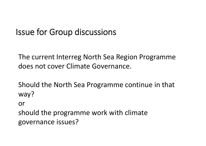### Issue for Group discussions

The current Interreg North Sea Region Programme does not cover Climate Governance.

Should the North Sea Programme continue in that way?

or

should the programme work with climate governance issues?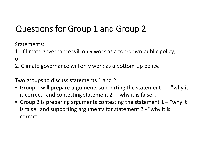## Questions for Group 1 and Group 2

Statements:

- 1. Climate governance will only work as <sup>a</sup> top‐down public policy, or
- 2. Climate governance will only work as <sup>a</sup> bottom‐up policy.

Two groups to discuss statements 1 and 2:

- Group 1 will prepare arguments supporting the statement 1 "why it is correct" and contesting statement 2 ‐ "why it is false".
- $\bullet$  Group 2 is preparing arguments contesting the statement  $1-$  "why it is false" and supporting arguments for statement 2 ‐ "why it is correct".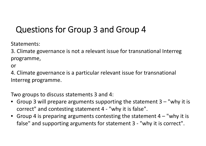# Questions for Group 3 and Group 4

Statements:

3. Climate governance is not <sup>a</sup> relevant issue for transnational Interreg programme,

or

4. Climate governance is <sup>a</sup> particular relevant issue for transnational Interreg programme.

Two groups to discuss statements 3 and 4:

- Group 3 will prepare arguments supporting the statement 3 "why it is correct" and contesting statement 4 ‐ "why it is false".
- Group 4 is preparing arguments contesting the statement 4 "why it is false" and supporting arguments for statement 3 ‐ "why it is correct".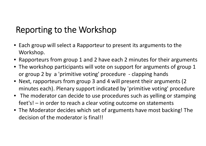# Reporting to the Workshop

- Each group will select <sup>a</sup> Rapporteur to present its arguments to the Workshop.
- Rapporteurs from group 1 and 2 have each 2 minutes for their arguments
- The workshop participants will vote on support for arguments of group 1 or group 2 by <sup>a</sup> 'primitive voting' procedure ‐ clapping hands
- Next, rapporteurs from group 3 and 4 will present their arguments (2 minutes each). Plenary support indicated by 'primitive voting' procedure
- The moderator can decide to use procedures such as yelling or stamping feet's! – in order to reach <sup>a</sup> clear voting outcome on statements
- The Moderator decides which set of arguments have most backing! The decision of the moderator is final!!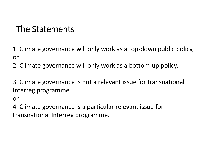## The Statements

- 1. Climate governance will only work as <sup>a</sup> top‐down public policy, or
- 2. Climate governance will only work as <sup>a</sup> bottom‐up policy.

3. Climate governance is not <sup>a</sup> relevant issue for transnational Interreg programme,

or

4. Climate governance is <sup>a</sup> particular relevant issue for transnational Interreg programme.